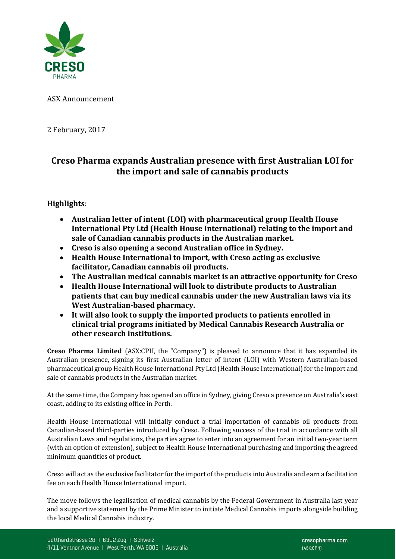

ASX Announcement

2 February, 2017

# **Creso Pharma expands Australian presence with first Australian LOI for the import and sale of cannabis products**

## **Highlights**:

- **Australian letter of intent (LOI) with pharmaceutical group Health House International Pty Ltd (Health House International) relating to the import and sale of Canadian cannabis products in the Australian market.**
- **Creso is also opening a second Australian office in Sydney.**
- **Health House International to import, with Creso acting as exclusive facilitator, Canadian cannabis oil products.**
- **The Australian medical cannabis market is an attractive opportunity for Creso**
- **Health House International will look to distribute products to Australian patients that can buy medical cannabis under the new Australian laws via its West Australian-based pharmacy.**
- **It will also look to supply the imported products to patients enrolled in clinical trial programs initiated by Medical Cannabis Research Australia or other research institutions.**

**Creso Pharma Limited** (ASX:CPH, the "Company") is pleased to announce that it has expanded its Australian presence, signing its first Australian letter of intent (LOI) with Western Australian-based pharmaceutical group Health House International Pty Ltd (Health House International) for the import and sale of cannabis products in the Australian market.

At the same time, the Company has opened an office in Sydney, giving Creso a presence on Australia's east coast, adding to its existing office in Perth.

Health House International will initially conduct a trial importation of cannabis oil products from Canadian-based third-parties introduced by Creso. Following success of the trial in accordance with all Australian Laws and regulations, the parties agree to enter into an agreement for an initial two-year term (with an option of extension), subject to Health House International purchasing and importing the agreed minimum quantities of product.

Creso will act as the exclusive facilitator for the import of the products into Australia and earn a facilitation fee on each Health House International import.

The move follows the legalisation of medical cannabis by the Federal Government in Australia last year and a supportive statement by the Prime Minister to initiate Medical Cannabis imports alongside building the local Medical Cannabis industry.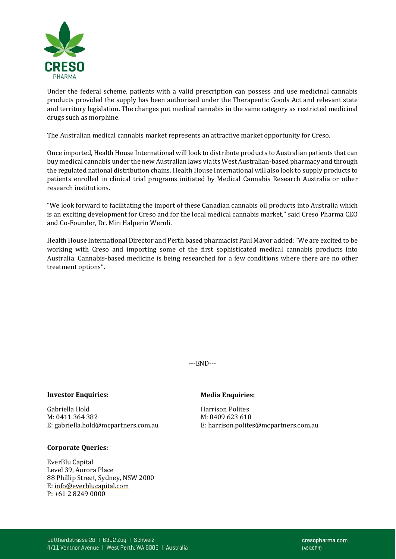

Under the federal scheme, patients with a valid prescription can possess and use medicinal cannabis products provided the supply has been authorised under the Therapeutic Goods Act and relevant state and territory legislation. The changes put medical cannabis in the same category as restricted medicinal drugs such as morphine.

The Australian medical cannabis market represents an attractive market opportunity for Creso.

Once imported, Health House International will look to distribute products to Australian patients that can buy medical cannabis under the new Australian laws via its West Australian-based pharmacy and through the regulated national distribution chains. Health House International will also look to supply products to patients enrolled in clinical trial programs initiated by Medical Cannabis Research Australia or other research institutions.

"We look forward to facilitating the import of these Canadian cannabis oil products into Australia which is an exciting development for Creso and for the local medical cannabis market," said Creso Pharma CEO and Co-Founder, Dr. Miri Halperin Wernli.

Health House International Director and Perth based pharmacist Paul Mavor added:"We are excited to be working with Creso and importing some of the first sophisticated medical cannabis products into Australia. Cannabis-based medicine is being researched for a few conditions where there are no other treatment options".

---END---

### **Investor Enquiries:** Media **Enquiries:**

Gabriella Hold Harrison Polites M: 0411 364 382<br>E: gabriella.hold@mcpartners.com.au

### **Corporate Queries:**

EverBlu Capital Level 39, Aurora Place 88 Phillip Street, Sydney, NSW 2000 [E: info@everblucapital.com](mailto:info@everblucapital.com) P: +61 2 8249 0000

E: harrison.polites@mcpartners.com.au